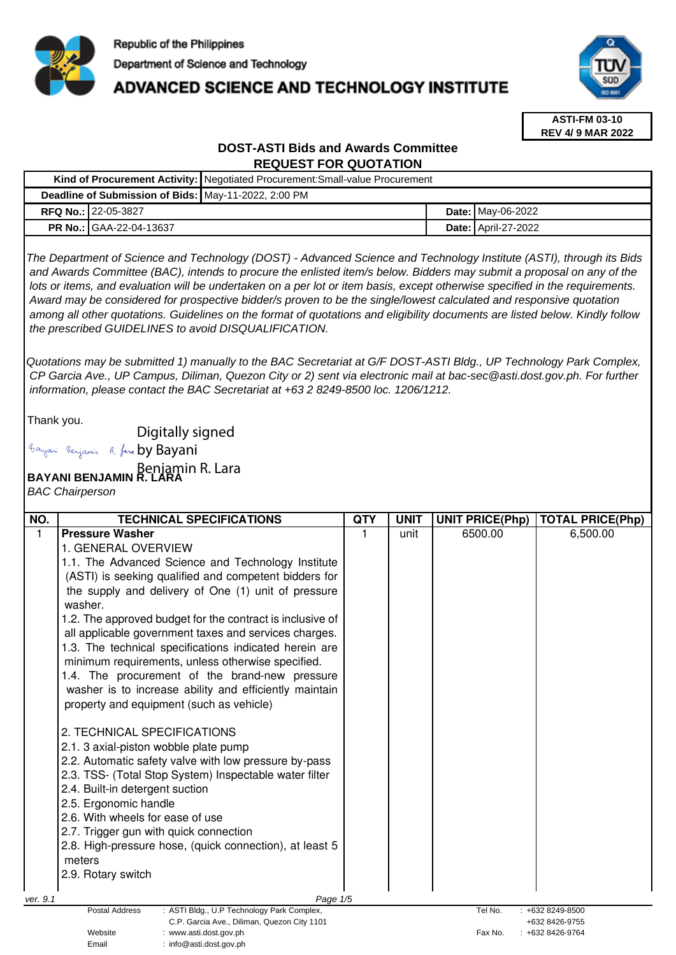

## **ADVANCED SCIENCE AND TECHNOLOGY INSTITUTE**



**ASTI-FM 03-10 REV 4/ 9 MAR 2022**

### **DOST-ASTI Bids and Awards Committee REQUEST FOR QUOTATION**

|                                                      |                                | Kind of Procurement Activity:   Negotiated Procurement: Small-value Procurement |  |                            |
|------------------------------------------------------|--------------------------------|---------------------------------------------------------------------------------|--|----------------------------|
| Deadline of Submission of Bids: May-11-2022, 2:00 PM |                                |                                                                                 |  |                            |
|                                                      | <b>RFQ No.: 122-05-3827</b>    |                                                                                 |  | <b>Date: May-06-2022</b>   |
|                                                      | <b>PR No.: GAA-22-04-13637</b> |                                                                                 |  | <b>Date: April-27-2022</b> |

The Department of Science and Technology (DOST) - Advanced Science and Technology Institute (ASTI), through its Bids and Awards Committee (BAC), intends to procure the enlisted item/s below. Bidders may submit a proposal on any of the lots or items, and evaluation will be undertaken on a per lot or item basis, except otherwise specified in the requirements. Award may be considered for prospective bidder/s proven to be the single/lowest calculated and responsive quotation among all other quotations. Guidelines on the format of quotations and eligibility documents are listed below. Kindly follow the prescribed GUIDELINES to avoid DISQUALIFICATION.

Quotations may be submitted 1) manually to the BAC Secretariat at G/F DOST-ASTI Bldg., UP Technology Park Complex, CP Garcia Ave., UP Campus, Diliman, Quezon City or 2) sent via electronic mail at bac-sec@asti.dost.gov.ph. For further information, please contact the BAC Secretariat at +63 2 8249-8500 loc. 1206/1212.

Thank you.

Digitally signed

Bayani Benjamin R. fan by Bayani

# **BAYANI BENJAMIN R. LARA**  Benjamin R. Lara

Email : info@asti.dost.gov.ph

BAC Chairperson

| NO.      | <b>TECHNICAL SPECIFICATIONS</b>                                                 | <b>QTY</b> | <b>UNIT</b> | <b>UNIT PRICE(Php)</b> | <b>TOTAL PRICE(Php)</b> |
|----------|---------------------------------------------------------------------------------|------------|-------------|------------------------|-------------------------|
| 1        | <b>Pressure Washer</b>                                                          |            | unit        | 6500.00                | 6,500.00                |
|          | 1. GENERAL OVERVIEW                                                             |            |             |                        |                         |
|          | 1.1. The Advanced Science and Technology Institute                              |            |             |                        |                         |
|          | (ASTI) is seeking qualified and competent bidders for                           |            |             |                        |                         |
|          | the supply and delivery of One (1) unit of pressure<br>washer.                  |            |             |                        |                         |
|          | 1.2. The approved budget for the contract is inclusive of                       |            |             |                        |                         |
|          | all applicable government taxes and services charges.                           |            |             |                        |                         |
|          | 1.3. The technical specifications indicated herein are                          |            |             |                        |                         |
|          | minimum requirements, unless otherwise specified.                               |            |             |                        |                         |
|          | 1.4. The procurement of the brand-new pressure                                  |            |             |                        |                         |
|          | washer is to increase ability and efficiently maintain                          |            |             |                        |                         |
|          | property and equipment (such as vehicle)                                        |            |             |                        |                         |
|          |                                                                                 |            |             |                        |                         |
|          | 2. TECHNICAL SPECIFICATIONS                                                     |            |             |                        |                         |
|          | 2.1. 3 axial-piston wobble plate pump                                           |            |             |                        |                         |
|          | 2.2. Automatic safety valve with low pressure by-pass                           |            |             |                        |                         |
|          | 2.3. TSS- (Total Stop System) Inspectable water filter                          |            |             |                        |                         |
|          | 2.4. Built-in detergent suction                                                 |            |             |                        |                         |
|          | 2.5. Ergonomic handle                                                           |            |             |                        |                         |
|          | 2.6. With wheels for ease of use                                                |            |             |                        |                         |
|          | 2.7. Trigger gun with quick connection                                          |            |             |                        |                         |
|          | 2.8. High-pressure hose, (quick connection), at least 5                         |            |             |                        |                         |
|          | meters                                                                          |            |             |                        |                         |
|          | 2.9. Rotary switch                                                              |            |             |                        |                         |
|          |                                                                                 |            |             |                        |                         |
| ver. 9.1 | Page 1/5<br><b>Postal Address</b><br>: ASTI Bldg., U.P Technology Park Complex, |            |             | Tel No.                | +632 8249-8500          |
|          | C.P. Garcia Ave., Diliman, Quezon City 1101                                     |            |             |                        | +632 8426-9755          |
|          | Website<br>www.asti.dost.gov.ph                                                 |            |             | Fax No.                | +632 8426-9764          |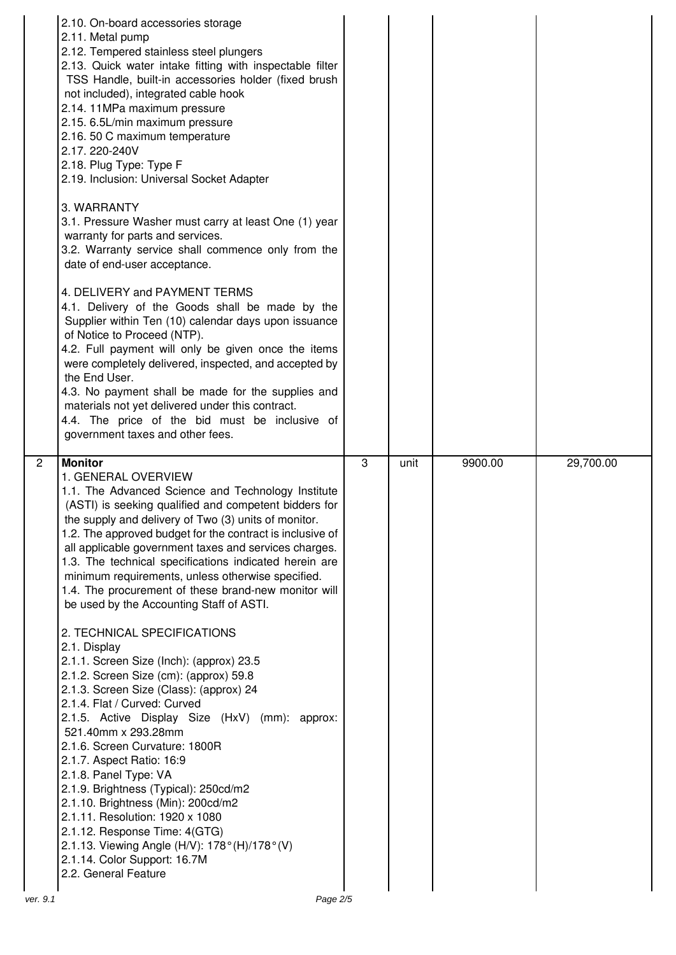|                            | 2.10. On-board accessories storage<br>2.11. Metal pump<br>2.12. Tempered stainless steel plungers<br>2.13. Quick water intake fitting with inspectable filter<br>TSS Handle, built-in accessories holder (fixed brush<br>not included), integrated cable hook<br>2.14. 11MPa maximum pressure<br>2.15. 6.5L/min maximum pressure<br>2.16. 50 C maximum temperature<br>2.17.220-240V<br>2.18. Plug Type: Type F<br>2.19. Inclusion: Universal Socket Adapter<br>3. WARRANTY<br>3.1. Pressure Washer must carry at least One (1) year<br>warranty for parts and services.<br>3.2. Warranty service shall commence only from the<br>date of end-user acceptance.<br>4. DELIVERY and PAYMENT TERMS<br>4.1. Delivery of the Goods shall be made by the<br>Supplier within Ten (10) calendar days upon issuance<br>of Notice to Proceed (NTP).<br>4.2. Full payment will only be given once the items<br>were completely delivered, inspected, and accepted by<br>the End User.<br>4.3. No payment shall be made for the supplies and<br>materials not yet delivered under this contract.<br>4.4. The price of the bid must be inclusive of<br>government taxes and other fees.                                       |   |      |         |           |
|----------------------------|-----------------------------------------------------------------------------------------------------------------------------------------------------------------------------------------------------------------------------------------------------------------------------------------------------------------------------------------------------------------------------------------------------------------------------------------------------------------------------------------------------------------------------------------------------------------------------------------------------------------------------------------------------------------------------------------------------------------------------------------------------------------------------------------------------------------------------------------------------------------------------------------------------------------------------------------------------------------------------------------------------------------------------------------------------------------------------------------------------------------------------------------------------------------------------------------------------------------|---|------|---------|-----------|
| $\overline{2}$<br>ver. 9.1 | <b>Monitor</b><br>1. GENERAL OVERVIEW<br>1.1. The Advanced Science and Technology Institute<br>(ASTI) is seeking qualified and competent bidders for<br>the supply and delivery of Two (3) units of monitor.<br>1.2. The approved budget for the contract is inclusive of<br>all applicable government taxes and services charges.<br>1.3. The technical specifications indicated herein are<br>minimum requirements, unless otherwise specified.<br>1.4. The procurement of these brand-new monitor will<br>be used by the Accounting Staff of ASTI.<br>2. TECHNICAL SPECIFICATIONS<br>2.1. Display<br>2.1.1. Screen Size (Inch): (approx) 23.5<br>2.1.2. Screen Size (cm): (approx) 59.8<br>2.1.3. Screen Size (Class): (approx) 24<br>2.1.4. Flat / Curved: Curved<br>2.1.5. Active Display Size (HxV) (mm): approx:<br>521.40mm x 293.28mm<br>2.1.6. Screen Curvature: 1800R<br>2.1.7. Aspect Ratio: 16:9<br>2.1.8. Panel Type: VA<br>2.1.9. Brightness (Typical): 250cd/m2<br>2.1.10. Brightness (Min): 200cd/m2<br>2.1.11. Resolution: 1920 x 1080<br>2.1.12. Response Time: 4(GTG)<br>2.1.13. Viewing Angle (H/V): 178° (H)/178° (V)<br>2.1.14. Color Support: 16.7M<br>2.2. General Feature<br>Page 2/5 | 3 | unit | 9900.00 | 29,700.00 |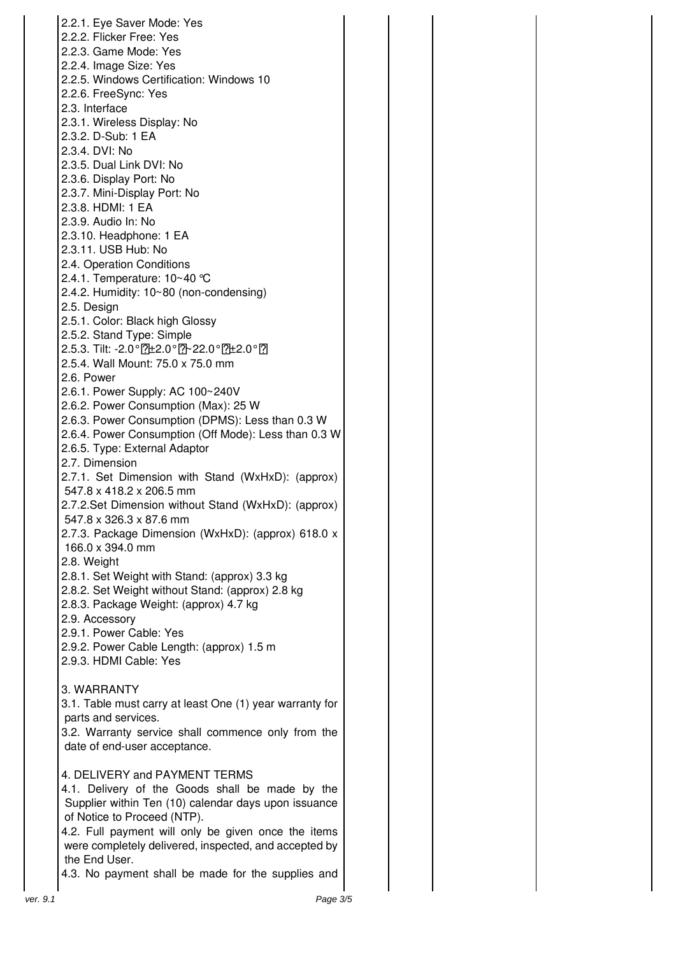2.2.1. Eye Saver Mode: Yes 2.2.2. Flicker Free: Yes 2.2.3. Game Mode: Yes 2.2.4. Image Size: Yes 2.2.5. Windows Certification: Windows 10 2.2.6. FreeSync: Yes 2.3. Interface 2.3.1. Wireless Display: No 2.3.2. D-Sub: 1 EA 2.3.4. DVI: No 2.3.5. Dual Link DVI: No 2.3.6. Display Port: No 2.3.7. Mini-Display Port: No 2.3.8. HDMI: 1 EA 2.3.9. Audio In: No 2.3.10. Headphone: 1 EA 2.3.11. USB Hub: No 2.4. Operation Conditions 2.4.1. Temperature: 10~40 ℃ 2.4.2. Humidity: 10~80 (non-condensing) 2.5. Design 2.5.1. Color: Black high Glossy 2.5.2. Stand Type: Simple 2.5.3. Tilt: -2.0°? 22.0° ? 22.0° ? 22.0° ? 1 2.5.4. Wall Mount: 75.0 x 75.0 mm 2.6. Power 2.6.1. Power Supply: AC 100~240V 2.6.2. Power Consumption (Max): 25 W 2.6.3. Power Consumption (DPMS): Less than 0.3 W 2.6.4. Power Consumption (Off Mode): Less than 0.3 W 2.6.5. Type: External Adaptor 2.7. Dimension 2.7.1. Set Dimension with Stand (WxHxD): (approx) 547.8 x 418.2 x 206.5 mm 2.7.2.Set Dimension without Stand (WxHxD): (approx) 547.8 x 326.3 x 87.6 mm 2.7.3. Package Dimension (WxHxD): (approx) 618.0 x 166.0 x 394.0 mm 2.8. Weight 2.8.1. Set Weight with Stand: (approx) 3.3 kg 2.8.2. Set Weight without Stand: (approx) 2.8 kg 2.8.3. Package Weight: (approx) 4.7 kg 2.9. Accessory 2.9.1. Power Cable: Yes 2.9.2. Power Cable Length: (approx) 1.5 m 2.9.3. HDMI Cable: Yes 3. WARRANTY 3.1. Table must carry at least One (1) year warranty for parts and services. 3.2. Warranty service shall commence only from the date of end-user acceptance. 4. DELIVERY and PAYMENT TERMS 4.1. Delivery of the Goods shall be made by the Supplier within Ten (10) calendar days upon issuance of Notice to Proceed (NTP). 4.2. Full payment will only be given once the items were completely delivered, inspected, and accepted by the End User.

4.3. No payment shall be made for the supplies and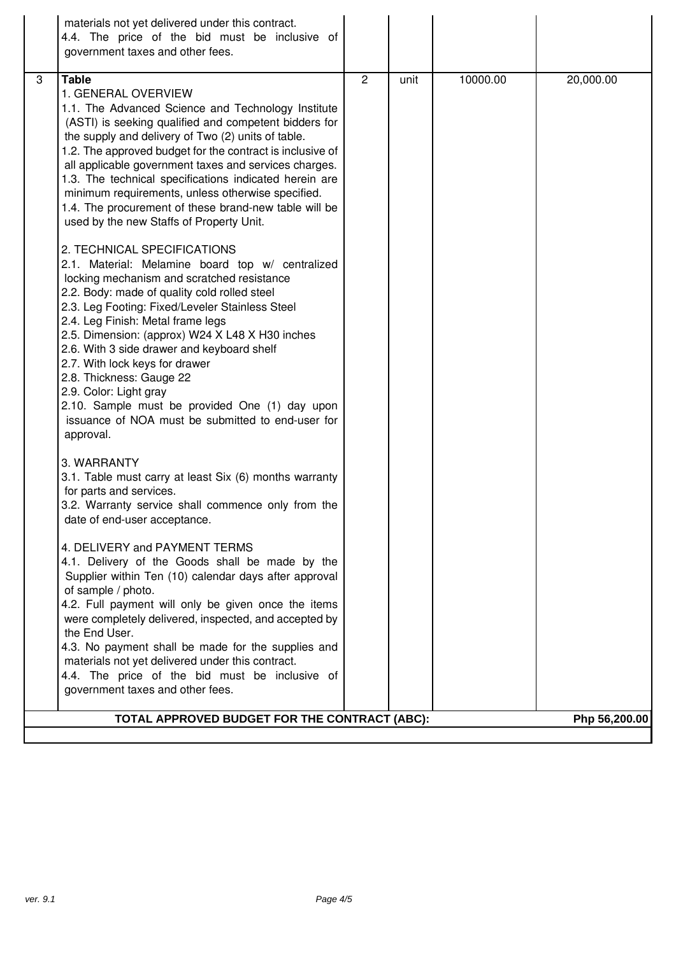| materials not yet delivered under this contract.<br>4.4. The price of the bid must be inclusive of<br>government taxes and other fees.                                                                                                                                                                                                                                                                                                                                                                                                                                                                                                                                                                                                                                                                                                                                                                                                                                                                                                                                                                                                                                                                                                                                                                                                                                                                                                                                                                                                                                                                                                                                                                                                                                                                                                                                                         |  |  |  |  |  |
|------------------------------------------------------------------------------------------------------------------------------------------------------------------------------------------------------------------------------------------------------------------------------------------------------------------------------------------------------------------------------------------------------------------------------------------------------------------------------------------------------------------------------------------------------------------------------------------------------------------------------------------------------------------------------------------------------------------------------------------------------------------------------------------------------------------------------------------------------------------------------------------------------------------------------------------------------------------------------------------------------------------------------------------------------------------------------------------------------------------------------------------------------------------------------------------------------------------------------------------------------------------------------------------------------------------------------------------------------------------------------------------------------------------------------------------------------------------------------------------------------------------------------------------------------------------------------------------------------------------------------------------------------------------------------------------------------------------------------------------------------------------------------------------------------------------------------------------------------------------------------------------------|--|--|--|--|--|
| $\overline{c}$<br>10000.00<br>3<br><b>Table</b><br>20,000.00<br>unit<br>1. GENERAL OVERVIEW<br>1.1. The Advanced Science and Technology Institute<br>(ASTI) is seeking qualified and competent bidders for<br>the supply and delivery of Two (2) units of table.<br>1.2. The approved budget for the contract is inclusive of<br>all applicable government taxes and services charges.<br>1.3. The technical specifications indicated herein are<br>minimum requirements, unless otherwise specified.<br>1.4. The procurement of these brand-new table will be<br>used by the new Staffs of Property Unit.<br>2. TECHNICAL SPECIFICATIONS<br>2.1. Material: Melamine board top w/ centralized<br>locking mechanism and scratched resistance<br>2.2. Body: made of quality cold rolled steel<br>2.3. Leg Footing: Fixed/Leveler Stainless Steel<br>2.4. Leg Finish: Metal frame legs<br>2.5. Dimension: (approx) W24 X L48 X H30 inches<br>2.6. With 3 side drawer and keyboard shelf<br>2.7. With lock keys for drawer<br>2.8. Thickness: Gauge 22<br>2.9. Color: Light gray<br>2.10. Sample must be provided One (1) day upon<br>issuance of NOA must be submitted to end-user for<br>approval.<br>3. WARRANTY<br>3.1. Table must carry at least Six (6) months warranty<br>for parts and services.<br>3.2. Warranty service shall commence only from the<br>date of end-user acceptance.<br>4. DELIVERY and PAYMENT TERMS<br>4.1. Delivery of the Goods shall be made by the<br>Supplier within Ten (10) calendar days after approval<br>of sample / photo.<br>4.2. Full payment will only be given once the items<br>were completely delivered, inspected, and accepted by<br>the End User.<br>4.3. No payment shall be made for the supplies and<br>materials not yet delivered under this contract.<br>4.4. The price of the bid must be inclusive of<br>government taxes and other fees. |  |  |  |  |  |
| TOTAL APPROVED BUDGET FOR THE CONTRACT (ABC):<br>Php 56,200.00                                                                                                                                                                                                                                                                                                                                                                                                                                                                                                                                                                                                                                                                                                                                                                                                                                                                                                                                                                                                                                                                                                                                                                                                                                                                                                                                                                                                                                                                                                                                                                                                                                                                                                                                                                                                                                 |  |  |  |  |  |